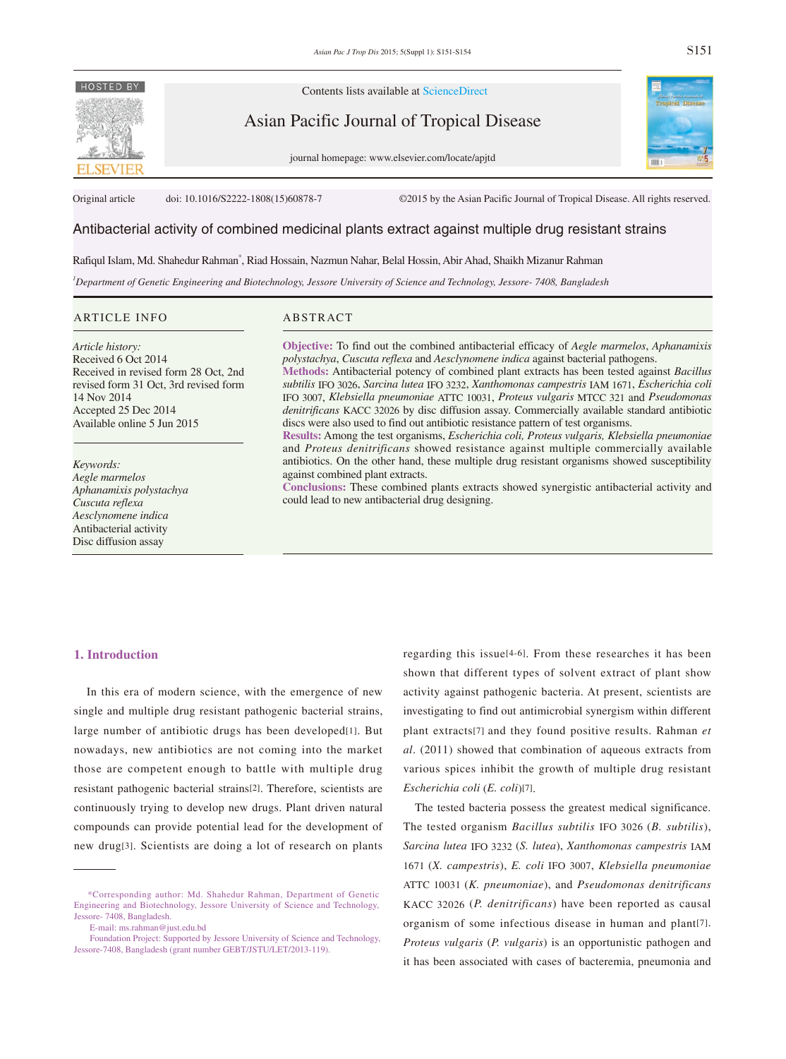

Contents lists available at ScienceDirect

Asian Pacific Journal of Tropical Disease

journal homepage: www.elsevier.com/locate/apjtd



Original article doi: 10.1016/S2222-1808(15)60878-7 ©2015 by the Asian Pacific Journal of Tropical Disease. All rights reserved.

# Antibacterial activity of combined medicinal plants extract against multiple drug resistant strains

Rafiqul Islam, Md. Shahedur Rahman\* , Riad Hossain, Nazmun Nahar, Belal Hossin, Abir Ahad, Shaikh Mizanur Rahman

*1 Department of Genetic Engineering and Biotechnology, Jessore University of Science and Technology, Jessore- 7408, Bangladesh*

#### ARTICLE INFO ABSTRACT

*Article history:* Received 6 Oct 2014 Received in revised form 28 Oct, 2nd revised form 31 Oct, 3rd revised form 14 Nov 2014 Accepted 25 Dec 2014 Available online 5 Jun 2015

*Keywords: Aegle marmelos Aphanamixis polystachya Cuscuta reflexa Aesclynomene indica* Antibacterial activity Disc diffusion assay

**Objective:** To find out the combined antibacterial efficacy of *Aegle marmelos*, *Aphanamixis polystachya*, *Cuscuta reflexa* and *Aesclynomene indica* against bacterial pathogens. **Methods:** Antibacterial potency of combined plant extracts has been tested against *Bacillus* 

*subtilis* IFO 3026, *Sarcina lutea* IFO 3232, *Xanthomonas campestris* IAM 1671, *Escherichia coli* IFO 3007, *Klebsiella pneumoniae* ATTC 10031, *Proteus vulgaris* MTCC 321 and *Pseudomonas denitrificans* KACC 32026 by disc diffusion assay. Commercially available standard antibiotic discs were also used to find out antibiotic resistance pattern of test organisms.

**Results:** Among the test organisms, *Escherichia coli, Proteus vulgaris, Klebsiella pneumoniae* and *Proteus denitrificans* showed resistance against multiple commercially available antibiotics. On the other hand, these multiple drug resistant organisms showed susceptibility against combined plant extracts.

**Conclusions:** These combined plants extracts showed synergistic antibacterial activity and could lead to new antibacterial drug designing.

# **1. Introduction**

 In this era of modern science, with the emergence of new single and multiple drug resistant pathogenic bacterial strains, large number of antibiotic drugs has been developed[1]. But nowadays, new antibiotics are not coming into the market those are competent enough to battle with multiple drug resistant pathogenic bacterial strains[2]. Therefore, scientists are continuously trying to develop new drugs. Plant driven natural compounds can provide potential lead for the development of new drug[3]. Scientists are doing a lot of research on plants

regarding this issue[4-6]. From these researches it has been shown that different types of solvent extract of plant show activity against pathogenic bacteria. At present, scientists are investigating to find out antimicrobial synergism within different plant extracts[7] and they found positive results. Rahman *et al*. (2011) showed that combination of aqueous extracts from various spices inhibit the growth of multiple drug resistant *Escherichia coli* (*E. coli*)[7].

 The tested bacteria possess the greatest medical significance. The tested organism *Bacillus subtilis* IFO 3026 (*B. subtilis*), *Sarcina lutea* IFO 3232 (*S. lutea*), *Xanthomonas campestris* IAM 1671 (*X. campestris*), *E. coli* IFO 3007, *Klebsiella pneumoniae* ATTC 10031 (*K. pneumoniae*), and *Pseudomonas denitrificans* KACC 32026 (*P. denitrificans*) have been reported as causal organism of some infectious disease in human and plant[7]. *Proteus vulgaris* (*P. vulgaris*) is an opportunistic pathogen and it has been associated with cases of bacteremia, pneumonia and

 <sup>\*</sup>Corresponding author: Md. Shahedur Rahman, Department of Genetic Engineering and Biotechnology, Jessore University of Science and Technology, Jessore- 7408, Bangladesh.

E-mail: ms.rahman@just.edu.bd

Foundation Project: Supported by Jessore University of Science and Technology, Jessore-7408, Bangladesh (grant number GEBT/JSTU/LET/2013-119).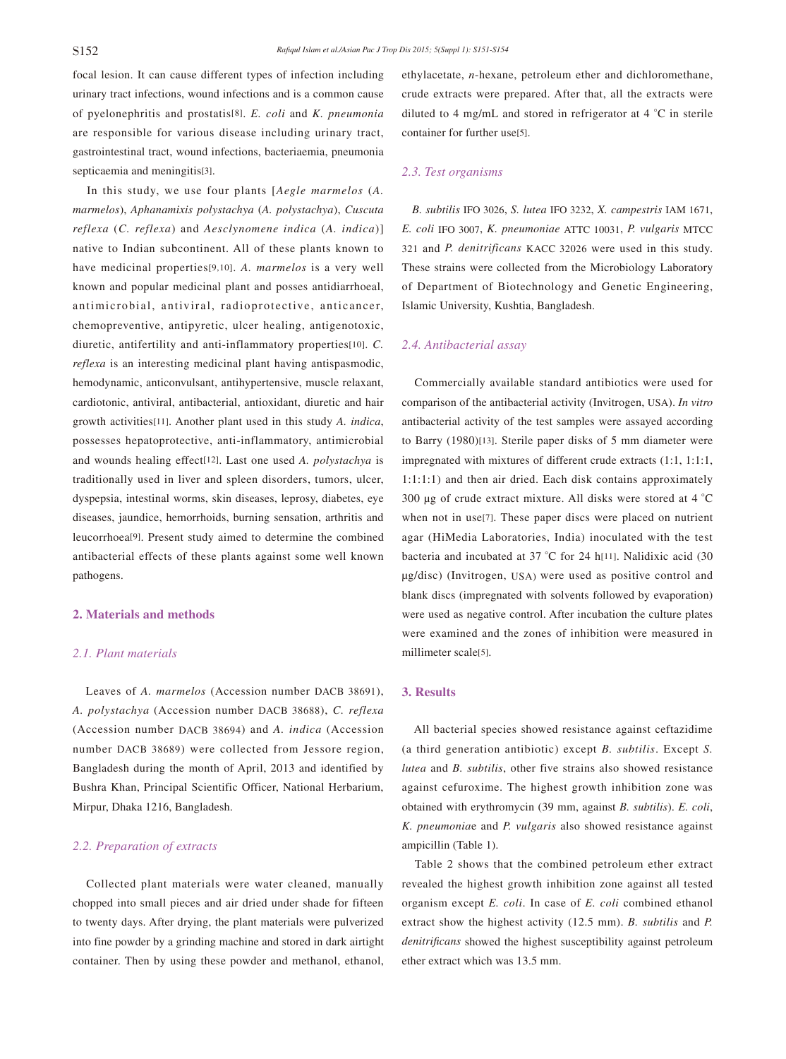focal lesion. It can cause different types of infection including urinary tract infections, wound infections and is a common cause of pyelonephritis and prostatis[8]. *E. coli* and *K. pneumonia* are responsible for various disease including urinary tract, gastrointestinal tract, wound infections, bacteriaemia, pneumonia septicaemia and meningitis[3].

 In this study, we use four plants [*Aegle marmelos* (*A. marmelos*), *Aphanamixis polystachya* (*A. polystachya*), *Cuscuta reflexa* (*C. reflexa*) and *Aesclynomene indica* (*A. indica*)] native to Indian subcontinent. All of these plants known to have medicinal properties[9,10]. *A. marmelos* is a very well known and popular medicinal plant and posses antidiarrhoeal, antimicrobial, antiviral, radioprotective, anticancer, chemopreventive, antipyretic, ulcer healing, antigenotoxic, diuretic, antifertility and anti-inflammatory properties[10]. *C. reflexa* is an interesting medicinal plant having antispasmodic, hemodynamic, anticonvulsant, antihypertensive, muscle relaxant, cardiotonic, antiviral, antibacterial, antioxidant, diuretic and hair growth activities[11]. Another plant used in this study *A. indica*, possesses hepatoprotective, anti-inflammatory, antimicrobial and wounds healing effect[12]. Last one used *A. polystachya* is traditionally used in liver and spleen disorders, tumors, ulcer, dyspepsia, intestinal worms, skin diseases, leprosy, diabetes, eye diseases, jaundice, hemorrhoids, burning sensation, arthritis and leucorrhoea[9]. Present study aimed to determine the combined antibacterial effects of these plants against some well known pathogens.

### **2. Materials and methods**

## *2.1. Plant materials*

 Leaves of *A. marmelos* (Accession number DACB 38691), *A. polystachya* (Accession number DACB 38688), *C. reflexa* (Accession number DACB 38694) and *A. indica* (Accession number DACB 38689) were collected from Jessore region, Bangladesh during the month of April, 2013 and identified by Bushra Khan, Principal Scientific Officer, National Herbarium, Mirpur, Dhaka 1216, Bangladesh.

## *2.2. Preparation of extracts*

 Collected plant materials were water cleaned, manually chopped into small pieces and air dried under shade for fifteen to twenty days. After drying, the plant materials were pulverized into fine powder by a grinding machine and stored in dark airtight container. Then by using these powder and methanol, ethanol, ethylacetate, *n*-hexane, petroleum ether and dichloromethane, crude extracts were prepared. After that, all the extracts were diluted to 4 mg/mL and stored in refrigerator at 4 °C in sterile container for further use[5].

## *2.3. Test organisms*

 *B. subtilis* IFO 3026, *S. lutea* IFO 3232, *X. campestris* IAM 1671, *E. coli* IFO 3007, *K. pneumoniae* ATTC 10031, *P. vulgaris* MTCC 321 and *P. denitrificans* KACC 32026 were used in this study. These strains were collected from the Microbiology Laboratory of Department of Biotechnology and Genetic Engineering, Islamic University, Kushtia, Bangladesh.

## *2.4. Antibacterial assay*

 Commercially available standard antibiotics were used for comparison of the antibacterial activity (Invitrogen, USA). *In vitro* antibacterial activity of the test samples were assayed according to Barry (1980)[13]. Sterile paper disks of 5 mm diameter were impregnated with mixtures of different crude extracts (1:1, 1:1:1, 1:1:1:1) and then air dried. Each disk contains approximately 300 μg of crude extract mixture. All disks were stored at 4 °C when not in use[7]. These paper discs were placed on nutrient agar (HiMedia Laboratories, India) inoculated with the test bacteria and incubated at 37 °C for 24 h[11]. Nalidixic acid (30 μg/disc) (Invitrogen, USA) were used as positive control and blank discs (impregnated with solvents followed by evaporation) were used as negative control. After incubation the culture plates were examined and the zones of inhibition were measured in millimeter scale[5].

#### **3. Results**

 All bacterial species showed resistance against ceftazidime (a third generation antibiotic) except *B. subtilis*. Except *S. lutea* and *B. subtilis*, other five strains also showed resistance against cefuroxime. The highest growth inhibition zone was obtained with erythromycin (39 mm, against *B. subtilis*). *E. coli*, *K. pneumonia*e and *P. vulgaris* also showed resistance against ampicillin (Table 1).

 Table 2 shows that the combined petroleum ether extract revealed the highest growth inhibition zone against all tested organism except *E. coli*. In case of *E. coli* combined ethanol extract show the highest activity (12.5 mm). *B. subtilis* and *P. denitrificans* showed the highest susceptibility against petroleum ether extract which was 13.5 mm.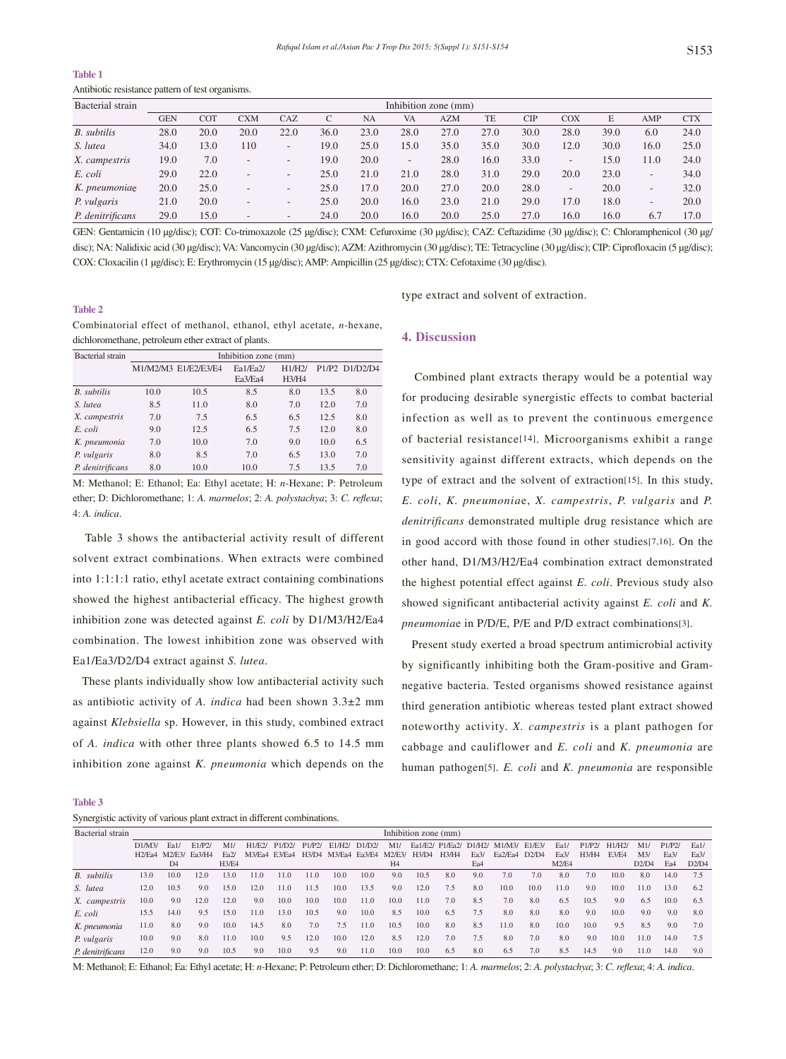#### **Table 1**

Antibiotic resistance pattern of test organisms.

| Bacterial strain   | Inhibition zone (mm) |            |                          |                          |      |           |                              |            |      |            |                          |      |                          |            |
|--------------------|----------------------|------------|--------------------------|--------------------------|------|-----------|------------------------------|------------|------|------------|--------------------------|------|--------------------------|------------|
|                    | <b>GEN</b>           | <b>COT</b> | CXM                      | CAZ                      |      | <b>NA</b> | <b>VA</b>                    | <b>AZM</b> | TE   | <b>CIP</b> | COX                      | E    | AMP                      | <b>CTX</b> |
| <b>B.</b> subtilis | 28.0                 | 20.0       | 20.0                     | 22.0                     | 36.0 | 23.0      | 28.0                         | 27.0       | 27.0 | 30.0       | 28.0                     | 39.0 | 6.0                      | 24.0       |
| S. lutea           | 34.0                 | 13.0       | 110                      | $\overline{\phantom{a}}$ | 19.0 | 25.0      | 15.0                         | 35.0       | 35.0 | 30.0       | 12.0                     | 30.0 | 16.0                     | 25.0       |
| X. campestris      | 19.0                 | 7.0        | $\overline{\phantom{a}}$ | $\overline{\phantom{a}}$ | 19.0 | 20.0      | $\qquad \qquad \blacksquare$ | 28.0       | 16.0 | 33.0       | $\overline{\phantom{a}}$ | 15.0 | 11.0                     | 24.0       |
| E. coli            | 29.0                 | 22.0       | $\overline{\phantom{0}}$ | $\overline{\phantom{a}}$ | 25.0 | 21.0      | 21.0                         | 28.0       | 31.0 | 29.0       | 20.0                     | 23.0 | $\overline{\phantom{a}}$ | 34.0       |
| K. pneumoniae      | 20.0                 | 25.0       | $\overline{\phantom{0}}$ | $\overline{\phantom{a}}$ | 25.0 | 17.0      | 20.0                         | 27.0       | 20.0 | 28.0       | $\overline{\phantom{a}}$ | 20.0 | $\overline{\phantom{a}}$ | 32.0       |
| P. vulgaris        | 21.0                 | 20.0       | $\overline{\phantom{a}}$ | $\overline{\phantom{a}}$ | 25.0 | 20.0      | 16.0                         | 23.0       | 21.0 | 29.0       | 17.0                     | 18.0 | $\overline{\phantom{a}}$ | 20.0       |
| P. denitrificans   | 29.0                 | 15.0       | $\overline{\phantom{0}}$ | $\overline{\phantom{a}}$ | 24.0 | 20.0      | 16.0                         | 20.0       | 25.0 | 27.0       | 16.0                     | 16.0 | 6.7                      | 17.0       |

GEN: Gentamicin (10 μg/disc); COT: Co-trimoxazole (25 μg/disc); CXM: Cefuroxime (30 μg/disc); CAZ: Ceftazidime (30 μg/disc); C: Chloramphenicol (30 μg/ disc); NA: Nalidixic acid (30 μg/disc); VA: Vancomycin (30 μg/disc); AZM: Azithromycin (30 μg/disc); TE: Tetracycline (30 μg/disc); CIP: Ciprofloxacin (5 μg/disc); COX: Cloxacilin (1 μg/disc); E: Erythromycin (15 μg/disc); AMP: Ampicillin (25 μg/disc); CTX: Cefotaxime (30 μg/disc).

#### **Table 2**

type extract and solvent of extraction.

| Combinatorial effect of methanol, ethanol, ethyl acetate, n-hexane, |  |  |  |  |
|---------------------------------------------------------------------|--|--|--|--|
| dichloromethane, petroleum ether extract of plants.                 |  |  |  |  |

| Bacterial strain   | Inhibition zone (mm) |                      |          |        |      |                |  |  |  |  |  |  |  |
|--------------------|----------------------|----------------------|----------|--------|------|----------------|--|--|--|--|--|--|--|
|                    |                      | M1/M2/M3 E1/E2/E3/E4 | Ea1/Ea2/ | H1/H2/ |      | P1/P2 D1/D2/D4 |  |  |  |  |  |  |  |
|                    |                      |                      | Ea3/Ea4  | H3/H4  |      |                |  |  |  |  |  |  |  |
| <b>B.</b> subtilis | 10.0                 | 10.5                 | 8.5      | 8.0    | 13.5 | 8.0            |  |  |  |  |  |  |  |
| S. lutea           | 8.5                  | 11.0                 | 8.0      | 7.0    | 12.0 | 7.0            |  |  |  |  |  |  |  |
| X. campestris      | 7.0                  | 7.5                  | 6.5      | 6.5    | 12.5 | 8.0            |  |  |  |  |  |  |  |
| E. coli            | 9.0                  | 12.5                 | 6.5      | 7.5    | 12.0 | 8.0            |  |  |  |  |  |  |  |
| K. pneumonia       | 7.0                  | 10.0                 | 7.0      | 9.0    | 10.0 | 6.5            |  |  |  |  |  |  |  |
| P. vulgaris        | 8.0                  | 8.5                  | 7.0      | 6.5    | 13.0 | 7.0            |  |  |  |  |  |  |  |
| P. denitrificans   | 8.0                  | 10.0                 | 10.0     | 7.5    | 13.5 | 7.0            |  |  |  |  |  |  |  |

M: Methanol; E: Ethanol; Ea: Ethyl acetate; H: *n-*Hexane; P: Petroleum ether; D: Dichloromethane; 1: *A. marmelos*; 2: *A. polystachya*; 3: *C. reflexa*; 4: *A. indica*.

 Table 3 shows the antibacterial activity result of different solvent extract combinations. When extracts were combined into 1:1:1:1 ratio, ethyl acetate extract containing combinations showed the highest antibacterial efficacy. The highest growth inhibition zone was detected against *E. coli* by D1/M3/H2/Ea4 combination. The lowest inhibition zone was observed with Ea1/Ea3/D2/D4 extract against *S. lutea*.

 These plants individually show low antibacterial activity such as antibiotic activity of *A. indica* had been shown 3.3±2 mm against *Klebsiella* sp. However, in this study, combined extract of *A. indica* with other three plants showed 6.5 to 14.5 mm inhibition zone against *K. pneumonia* which depends on the

## **4. Discussion**

 Combined plant extracts therapy would be a potential way for producing desirable synergistic effects to combat bacterial infection as well as to prevent the continuous emergence of bacterial resistance[14]. Microorganisms exhibit a range sensitivity against different extracts, which depends on the type of extract and the solvent of extraction[15]. In this study, *E. coli*, *K. pneumonia*e, *X. campestris*, *P. vulgaris* and *P. denitrificans* demonstrated multiple drug resistance which are in good accord with those found in other studies[7,16]. On the other hand, D1/M3/H2/Ea4 combination extract demonstrated the highest potential effect against *E. coli*. Previous study also showed significant antibacterial activity against *E. coli* and *K. pneumonia*e in P/D/E, P/E and P/D extract combinations[3].

 Present study exerted a broad spectrum antimicrobial activity by significantly inhibiting both the Gram-positive and Gramnegative bacteria. Tested organisms showed resistance against third generation antibiotic whereas tested plant extract showed noteworthy activity. *X. campestris* is a plant pathogen for cabbage and cauliflower and *E. coli* and *K. pneumonia* are human pathogen[5]. *E. coli* and *K. pneumonia* are responsible

**Table 3**

|  |  |  | Synergistic activity of various plant extract in different combinations. |
|--|--|--|--------------------------------------------------------------------------|
|  |  |  |                                                                          |

| Bacterial strain | Inhibition zone (mm) |                |                   |              |        |                                 |        |                     |        |                |       |                 |        |                                  |        |       |       |              |       |        |       |
|------------------|----------------------|----------------|-------------------|--------------|--------|---------------------------------|--------|---------------------|--------|----------------|-------|-----------------|--------|----------------------------------|--------|-------|-------|--------------|-------|--------|-------|
|                  | DI/M3/               | Ea1.           | E1/P <sub>2</sub> | M1           | H1/F2/ | P1/D2I                          | P1/P2/ | E1/H <sub>2</sub> / | D1/D2I | M1             |       | Ea1/E2/ P1/Ea2/ | D1/H2/ | M1/M3/                           | E1/E3/ | Ea1/  | P1/P2 | H1/H2/       | M1    | P1/P2/ | Fa1/  |
|                  | H2/Fa4               | M2/E3/         | Fa3/H4            | Fa2I         | M3/Fa4 | E <sub>3</sub> /E <sub>a4</sub> | H3/D4  | M3/Ea4 Ea3/E4       |        | M2/F3/         | H3/D4 | H3/H4           | Fa3/   | Fa <sub>2</sub> /F <sub>a4</sub> | D2/D4  | Fa3/  | H3/H4 | <b>E3/F4</b> | M3/   | Fa3/   | Fa3/  |
|                  |                      | D <sub>4</sub> |                   | <b>H3/E4</b> |        |                                 |        |                     |        | H <sub>4</sub> |       |                 | Ea4    |                                  |        | M2/E4 |       |              | D2/D4 | Ea4    | D2/D4 |
| B. subtilis      | 13.0                 | 10.0           | 12.0              | 13.0         | 11.0   | 11.0                            | 11.0   | 10.0                | 10.0   | 9.0            | 10.5  | 8.0             | 9.0    | 7.0                              | 7.0    | 8.0   | 7.0   | 10.0         | 8.0   | 14.0   | 7.5   |
| S. lutea         | 12.0                 | 10.5           | 9.0               | 15.0         | 12.0   | 11.0                            | 11.5   | 10.0                | 13.5   | 9.0            | 12.0  | 7.5             | 8.0    | 10.0                             | 10.0   | 11.0  | 9.0   | 10.0         | 11.0  | 13.0   | 6.2   |
| X. campestris    | 10.0                 | 9.0            | 12.0              | 12.0         | 9.0    | 10.0                            | 10.0   | 10.0                | 11.0   | 10.0           | 11.0  | 7.0             | 8.5    | 7.0                              | 8.0    | 6.5   | 10.5  | 9.0          | 6.5   | 10.0   | 6.5   |
| E. coli          | 15.5                 | 14.0           | 9.5               | 15.0         | 11.0   | 13.0                            | 10.5   | 9.0                 | 10.0   | 8.5            | 10.0  | 6.5             | 7.5    | 8.0                              | 8.0    | 8.0   | 9.0   | 10.0         | 9.0   | 9.0    | 8.0   |
| K. pneumonia     | 11.0                 | 8.0            | 9.0               | 10.0         | 14.5   | 8.0                             | 7.0    | 7.5                 | 11.0   | 10.5           | 10.0  | 8.0             | 8.5    | 11.0                             | 8.0    | 10.0  | 10.0  | 9.5          | 8.5   | 9.0    | 7.0   |
| P. vulgaris      | 10.0                 | 9.0            | 8.0               | 11.0         | 10.0   | 9.5                             | 12.0   | 10.0                | 12.0   | 8.5            | 12.0  | 7.0             | 7.5    | 8.0                              | 7.0    | 8.0   | 9.0   | 10.0         | 11.0  | 14.0   | 7.5   |
| P. denitrificans | 12.0                 | 9.0            | 9.0               | 10.5         | 9.0    | 10.0                            | 9.5    | 9.0                 | 11.0   | 10.0           | 10.0  | 6.5             | 8.0    | 6.5                              | 7.0    | 8.5   | 14.5  | 9.0          | 11.0  | 14.0   | 9.0   |

M: Methanol; E: Ethanol; Ea: Ethyl acetate; H: *n-*Hexane; P: Petroleum ether; D: Dichloromethane; 1: *A. marmelos*; 2: *A. polystachya*; 3: *C. reflexa*; 4: *A. indica*.